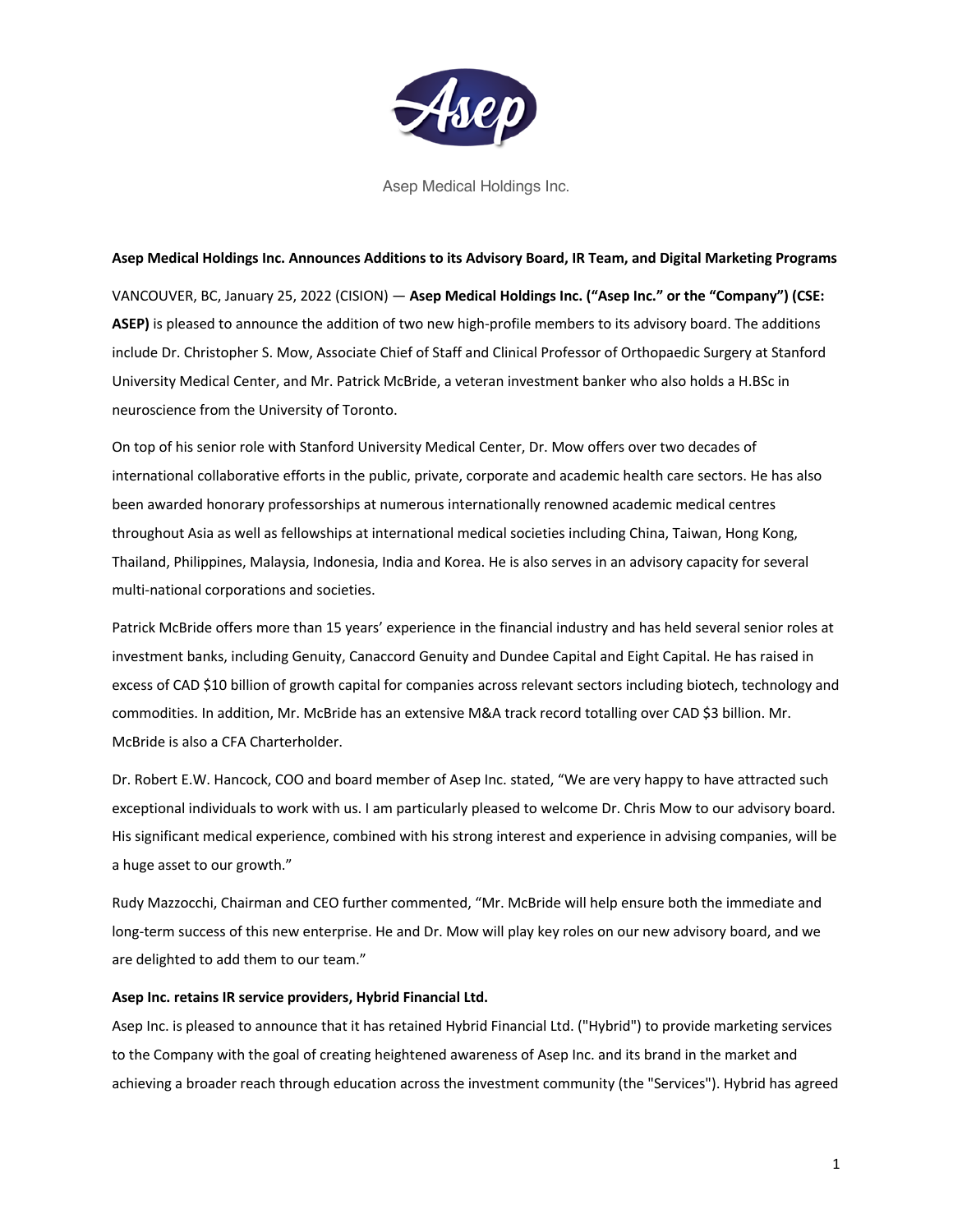

Asep Medical Holdings Inc.

#### **Asep Medical Holdings Inc. Announces Additions to its Advisory Board, IR Team, and Digital Marketing Programs**

VANCOUVER, BC, January 25, 2022 (CISION) — **Asep Medical Holdings Inc. ("Asep Inc." or the "Company") (CSE: ASEP)** is pleased to announce the addition of two new high-profile members to its advisory board. The additions include Dr. Christopher S. Mow, Associate Chief of Staff and Clinical Professor of Orthopaedic Surgery at Stanford University Medical Center, and Mr. Patrick McBride, a veteran investment banker who also holds a H.BSc in neuroscience from the University of Toronto.

On top of his senior role with Stanford University Medical Center, Dr. Mow offers over two decades of international collaborative efforts in the public, private, corporate and academic health care sectors. He has also been awarded honorary professorships at numerous internationally renowned academic medical centres throughout Asia as well as fellowships at international medical societies including China, Taiwan, Hong Kong, Thailand, Philippines, Malaysia, Indonesia, India and Korea. He is also serves in an advisory capacity for several multi-national corporations and societies.

Patrick McBride offers more than 15 years' experience in the financial industry and has held several senior roles at investment banks, including Genuity, Canaccord Genuity and Dundee Capital and Eight Capital. He has raised in excess of CAD \$10 billion of growth capital for companies across relevant sectors including biotech, technology and commodities. In addition, Mr. McBride has an extensive M&A track record totalling over CAD \$3 billion. Mr. McBride is also a CFA Charterholder.

Dr. Robert E.W. Hancock, COO and board member of Asep Inc. stated, "We are very happy to have attracted such exceptional individuals to work with us. I am particularly pleased to welcome Dr. Chris Mow to our advisory board. His significant medical experience, combined with his strong interest and experience in advising companies, will be a huge asset to our growth."

Rudy Mazzocchi, Chairman and CEO further commented, "Mr. McBride will help ensure both the immediate and long-term success of this new enterprise. He and Dr. Mow will play key roles on our new advisory board, and we are delighted to add them to our team."

### **Asep Inc. retains IR service providers, Hybrid Financial Ltd.**

Asep Inc. is pleased to announce that it has retained Hybrid Financial Ltd. ("Hybrid") to provide marketing services to the Company with the goal of creating heightened awareness of Asep Inc. and its brand in the market and achieving a broader reach through education across the investment community (the "Services"). Hybrid has agreed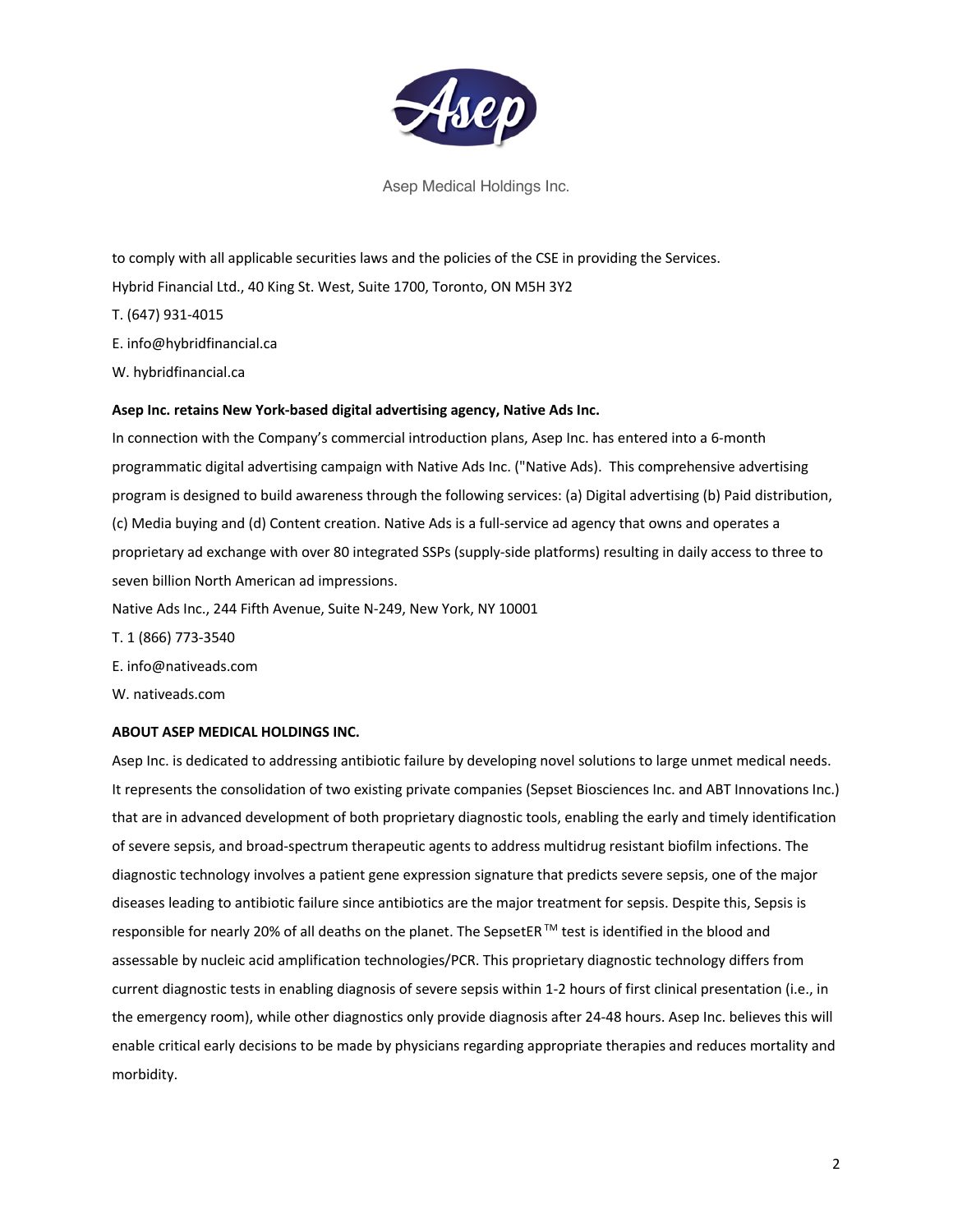

Asep Medical Holdings Inc.

to comply with all applicable securities laws and the policies of the CSE in providing the Services.

Hybrid Financial Ltd., 40 King St. West, Suite 1700, Toronto, ON M5H 3Y2

T. (647) 931-4015

E. info@hybridfinancial.ca

W. hybridfinancial.ca

# **Asep Inc. retains New York-based digital advertising agency, Native Ads Inc.**

In connection with the Company's commercial introduction plans, Asep Inc. has entered into a 6-month programmatic digital advertising campaign with Native Ads Inc. ("Native Ads). This comprehensive advertising program is designed to build awareness through the following services: (a) Digital advertising (b) Paid distribution, (c) Media buying and (d) Content creation. Native Ads is a full-service ad agency that owns and operates a proprietary ad exchange with over 80 integrated SSPs (supply-side platforms) resulting in daily access to three to seven billion North American ad impressions.

Native Ads Inc., 244 Fifth Avenue, Suite N-249, New York, NY 10001

T. 1 (866) 773-3540 E. info@nativeads.com

W. nativeads.com

# **ABOUT ASEP MEDICAL HOLDINGS INC.**

Asep Inc. is dedicated to addressing antibiotic failure by developing novel solutions to large unmet medical needs. It represents the consolidation of two existing private companies (Sepset Biosciences Inc. and ABT Innovations Inc.) that are in advanced development of both proprietary diagnostic tools, enabling the early and timely identification of severe sepsis, and broad-spectrum therapeutic agents to address multidrug resistant biofilm infections. The diagnostic technology involves a patient gene expression signature that predicts severe sepsis, one of the major diseases leading to antibiotic failure since antibiotics are the major treatment for sepsis. Despite this, Sepsis is responsible for nearly 20% of all deaths on the planet. The SepsetER ™ test is identified in the blood and assessable by nucleic acid amplification technologies/PCR. This proprietary diagnostic technology differs from current diagnostic tests in enabling diagnosis of severe sepsis within 1-2 hours of first clinical presentation (i.e., in the emergency room), while other diagnostics only provide diagnosis after 24-48 hours. Asep Inc. believes this will enable critical early decisions to be made by physicians regarding appropriate therapies and reduces mortality and morbidity.